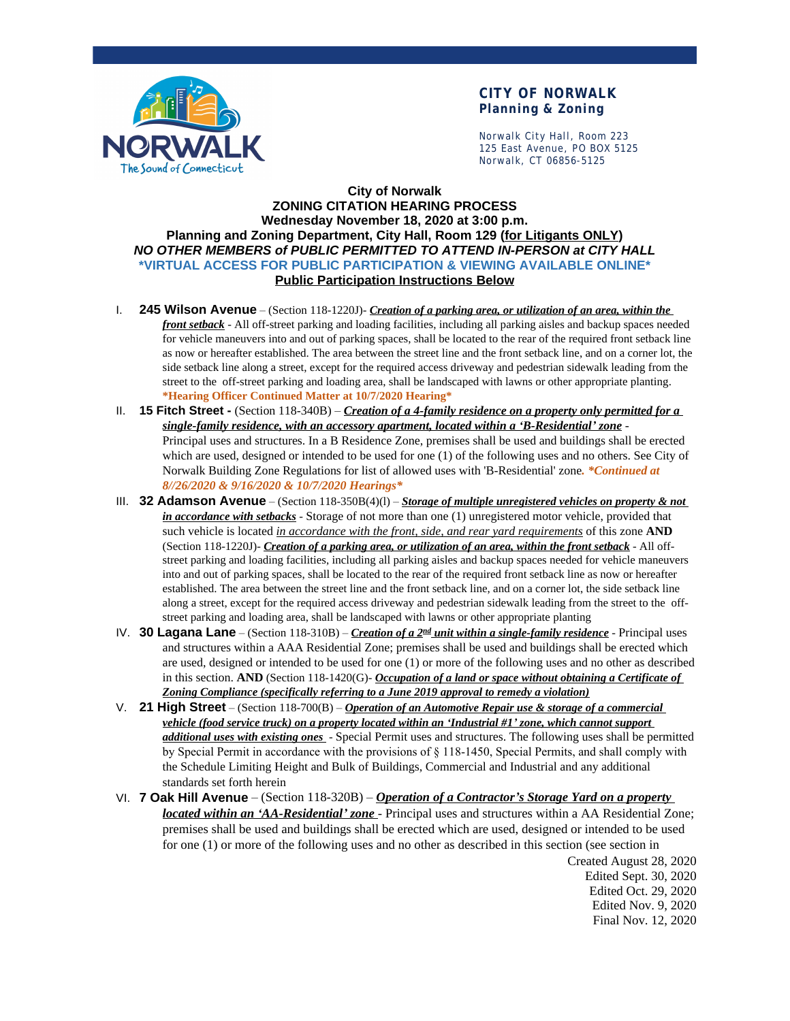

### **CITY OF NORWALK Planning & Zoning**

Norwalk City Hall, Room 223 125 East Avenue, PO BOX 5125 Norwalk, CT 06856-5125

#### **City of Norwalk ZONING CITATION HEARING PROCESS Wednesday November 18, 2020 at 3:00 p.m. Planning and Zoning Department, City Hall, Room 129 (for Litigants ONLY)** *NO OTHER MEMBERS of PUBLIC PERMITTED TO ATTEND IN-PERSON at CITY HALL* **\*VIRTUAL ACCESS FOR PUBLIC PARTICIPATION & VIEWING AVAILABLE ONLINE\* Public Participation Instructions Below**

- I. **245 Wilson Avenue** (Section 118-1220J)- *Creation of a parking area, or utilization of an area, within the front setback* - All off-street parking and loading facilities, including all parking aisles and backup spaces needed for vehicle maneuvers into and out of parking spaces, shall be located to the rear of the required front setback line as now or hereafter established. The area between the street line and the front setback line, and on a corner lot, the side setback line along a street, except for the required access driveway and pedestrian sidewalk leading from the street to the off-street parking and loading area, shall be landscaped with lawns or other appropriate planting. **\*Hearing Officer Continued Matter at 10/7/2020 Hearing\***
- II. **15 Fitch Street** (Section 118-340B) *Creation of a 4-family residence on a property only permitted for a single-family residence, with an accessory apartment, located within a 'B-Residential' zone* - Principal uses and structures. In a B Residence Zone, premises shall be used and buildings shall be erected which are used, designed or intended to be used for one (1) of the following uses and no others. See City of Norwalk Building Zone Regulations for list of allowed uses with 'B-Residential' zone*. \*Continued at 8//26/2020 & 9/16/2020 & 10/7/2020 Hearings\**
- III. **32 Adamson Avenue** (Section 118-350B(4)(l) *Storage of multiple unregistered vehicles on property & not in accordance with setbacks* - Storage of not more than one (1) unregistered motor vehicle, provided that such vehicle is located *in accordance with the front, side, and rear yard requirements* of this zone **AND** (Section 118-1220J)- *Creation of a parking area, or utilization of an area, within the front setback* - All offstreet parking and loading facilities, including all parking aisles and backup spaces needed for vehicle maneuvers into and out of parking spaces, shall be located to the rear of the required front setback line as now or hereafter established. The area between the street line and the front setback line, and on a corner lot, the side setback line along a street, except for the required access driveway and pedestrian sidewalk leading from the street to the offstreet parking and loading area, shall be landscaped with lawns or other appropriate planting
- IV. **30 Lagana Lane** (Section 118-310B) *Creation of a 2nd unit within a single-family residence* Principal uses and structures within a AAA Residential Zone; premises shall be used and buildings shall be erected which are used, designed or intended to be used for one (1) or more of the following uses and no other as described in this section. **AND** (Section 118-1420(G)- *Occupation of a land or space without obtaining a Certificate of Zoning Compliance (specifically referring to a June 2019 approval to remedy a violation)*
- V. **21 High Street** (Section 118-700(B) *Operation of an Automotive Repair use & storage of a commercial vehicle (food service truck) on a property located within an 'Industrial #1' zone, which cannot support additional uses with existing ones* - Special Permit uses and structures. The following uses shall be permitted by Special Permit in accordance with the provisions of § 118-1450, Special Permits, and shall comply with the Schedule Limiting Height and Bulk of Buildings, Commercial and Industrial and any additional standards set forth herein
- VI. **7 Oak Hill Avenue** (Section 118-320B) *Operation of a Contractor's Storage Yard on a property located within an 'AA-Residential' zone* - Principal uses and structures within a AA Residential Zone; premises shall be used and buildings shall be erected which are used, designed or intended to be used for one (1) or more of the following uses and no other as described in this section (see section in

Created August 28, 2020 Edited Sept. 30, 2020 Edited Oct. 29, 2020 Edited Nov. 9, 2020 Final Nov. 12, 2020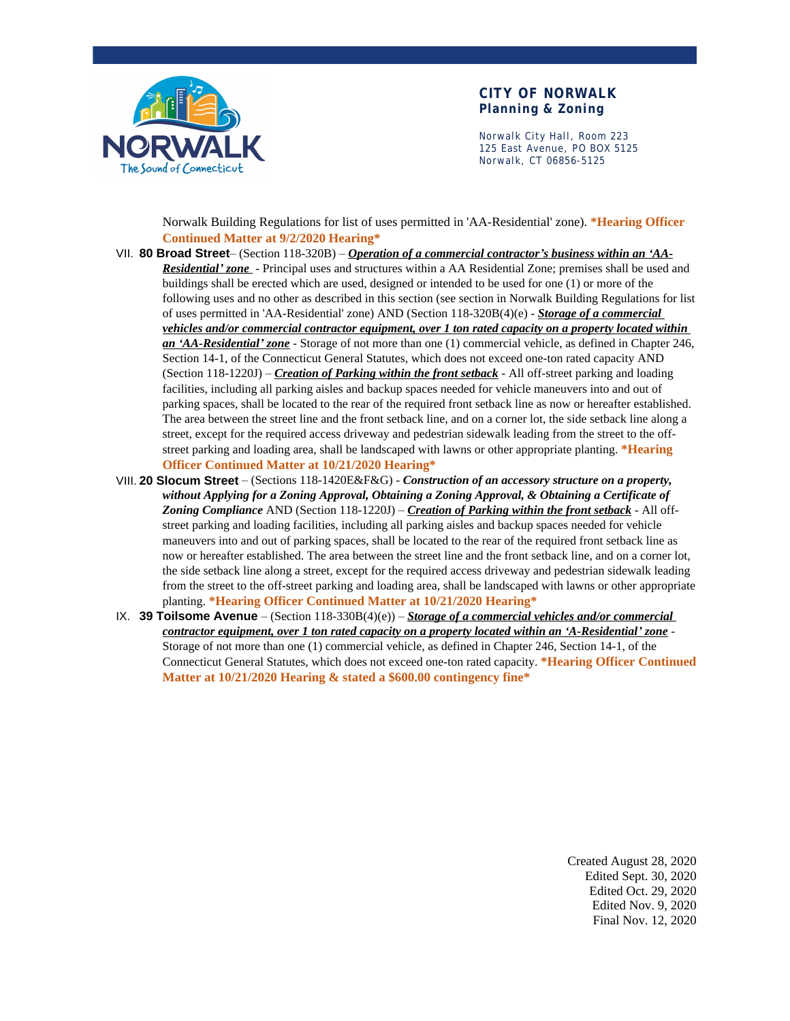

#### **CITY OF NORWALK Planning & Zoning**

Norwalk City Hall, Room 223 125 East Avenue, PO BOX 5125 Norwalk, CT 06856-5125

Norwalk Building Regulations for list of uses permitted in 'AA-Residential' zone). **\*Hearing Officer Continued Matter at 9/2/2020 Hearing\***

- VII. **80 Broad Street** (Section 118-320B) *Operation of a commercial contractor's business within an 'AA-Residential' zone* - Principal uses and structures within a AA Residential Zone; premises shall be used and buildings shall be erected which are used, designed or intended to be used for one (1) or more of the following uses and no other as described in this section (see section in Norwalk Building Regulations for list of uses permitted in 'AA-Residential' zone) AND (Section 118-320B(4)(e) - *Storage of a commercial vehicles and/or commercial contractor equipment, over 1 ton rated capacity on a property located within an 'AA-Residential' zone* - Storage of not more than one (1) commercial vehicle, as defined in Chapter 246, Section 14-1, of the Connecticut General Statutes, which does not exceed one-ton rated capacity AND (Section 118-1220J) – *Creation of Parking within the front setback* - All off-street parking and loading facilities, including all parking aisles and backup spaces needed for vehicle maneuvers into and out of parking spaces, shall be located to the rear of the required front setback line as now or hereafter established. The area between the street line and the front setback line, and on a corner lot, the side setback line along a street, except for the required access driveway and pedestrian sidewalk leading from the street to the offstreet parking and loading area, shall be landscaped with lawns or other appropriate planting. **\*Hearing Officer Continued Matter at 10/21/2020 Hearing\***
- VIII. **20 Slocum Street** (Sections 118-1420E&F&G) *Construction of an accessory structure on a property, without Applying for a Zoning Approval, Obtaining a Zoning Approval, & Obtaining a Certificate of Zoning Compliance* AND (Section 118-1220J) – *Creation of Parking within the front setback* - All offstreet parking and loading facilities, including all parking aisles and backup spaces needed for vehicle maneuvers into and out of parking spaces, shall be located to the rear of the required front setback line as now or hereafter established. The area between the street line and the front setback line, and on a corner lot, the side setback line along a street, except for the required access driveway and pedestrian sidewalk leading from the street to the off-street parking and loading area, shall be landscaped with lawns or other appropriate planting. **\*Hearing Officer Continued Matter at 10/21/2020 Hearing\***
- IX. **39 Toilsome Avenue**  (Section 118-330B(4)(e)) *Storage of a commercial vehicles and/or commercial contractor equipment, over 1 ton rated capacity on a property located within an 'A-Residential' zone* - Storage of not more than one (1) commercial vehicle, as defined in Chapter 246, Section 14-1, of the Connecticut General Statutes, which does not exceed one-ton rated capacity. **\*Hearing Officer Continued Matter at 10/21/2020 Hearing & stated a \$600.00 contingency fine\***

Created August 28, 2020 Edited Sept. 30, 2020 Edited Oct. 29, 2020 Edited Nov. 9, 2020 Final Nov. 12, 2020